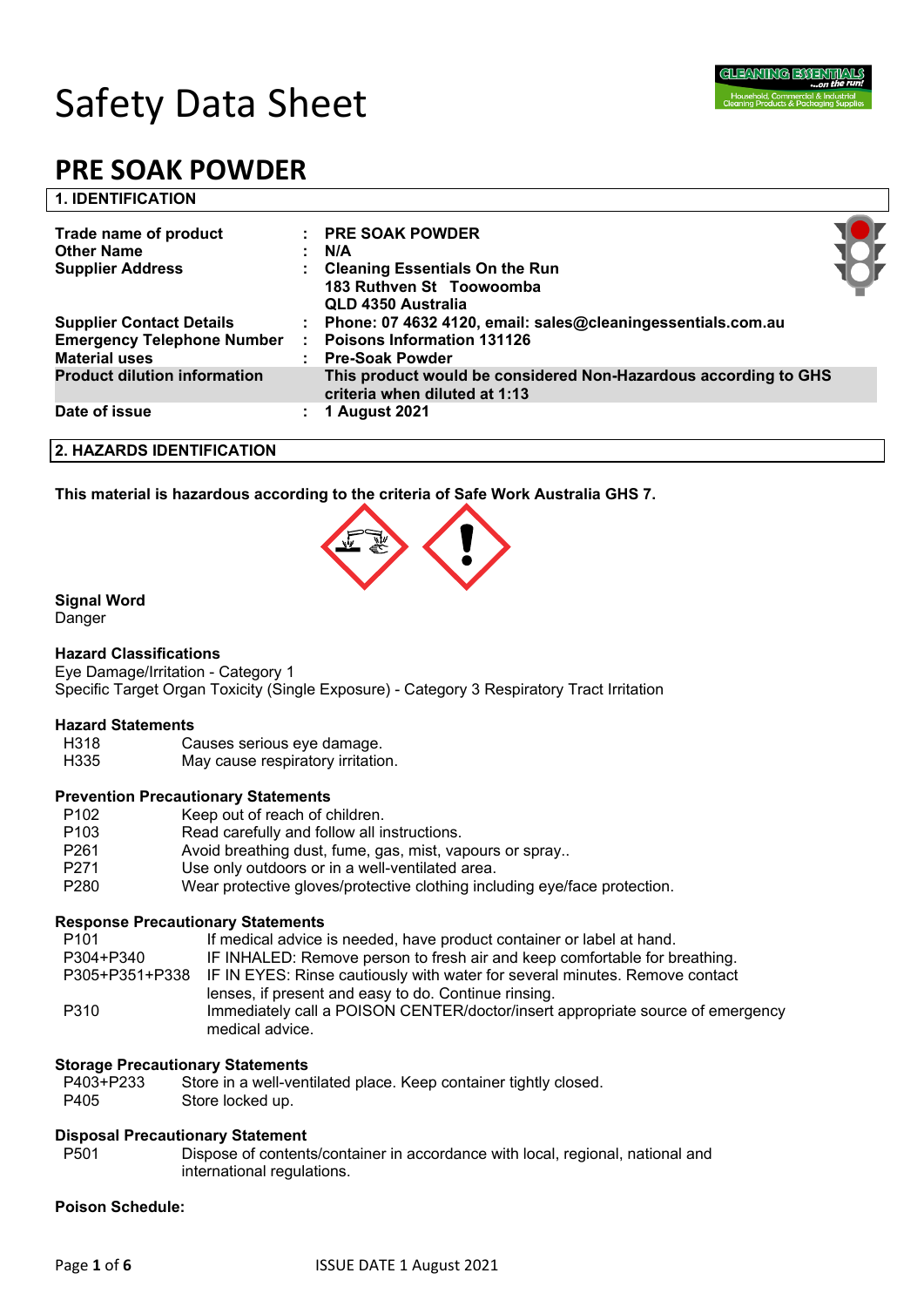

| <b>1. IDENTIFICATION</b>                                  |                                                                                                  |  |
|-----------------------------------------------------------|--------------------------------------------------------------------------------------------------|--|
| Trade name of product                                     | <b>PRE SOAK POWDER</b>                                                                           |  |
| <b>Other Name</b>                                         | N/A                                                                                              |  |
| <b>Supplier Address</b>                                   | <b>Cleaning Essentials On the Run</b><br>183 Ruthven St Toowoomba<br>QLD 4350 Australia          |  |
| <b>Supplier Contact Details</b>                           | : Phone: 07 4632 4120, email: sales@cleaningessentials.com.au                                    |  |
| <b>Emergency Telephone Number</b><br><b>Material uses</b> | <b>Poisons Information 131126</b><br><b>Pre-Soak Powder</b>                                      |  |
| <b>Product dilution information</b>                       | This product would be considered Non-Hazardous according to GHS<br>criteria when diluted at 1:13 |  |
| Date of issue                                             | 1 August 2021                                                                                    |  |

#### **2. HAZARDS IDENTIFICATION**

**This material is hazardous according to the criteria of Safe Work Australia GHS 7.**



# **Signal Word**

Danger

#### **Hazard Classifications**

Eye Damage/Irritation - Category 1 Specific Target Organ Toxicity (Single Exposure) - Category 3 Respiratory Tract Irritation

# **Hazard Statements**

Causes serious eye damage.

H335 May cause respiratory irritation.

#### **Prevention Precautionary Statements**

- P102 Keep out of reach of children.
- P103 Read carefully and follow all instructions.
- P261 Avoid breathing dust, fume, gas, mist, vapours or spray..
- P271 Use only outdoors or in a well-ventilated area.
- P280 Wear protective gloves/protective clothing including eye/face protection.

#### **Response Precautionary Statements**

| P <sub>101</sub> | If medical advice is needed, have product container or label at hand.                             |
|------------------|---------------------------------------------------------------------------------------------------|
| P304+P340        | IF INHALED: Remove person to fresh air and keep comfortable for breathing.                        |
|                  | P305+P351+P338 IF IN EYES: Rinse cautiously with water for several minutes. Remove contact        |
|                  | lenses, if present and easy to do. Continue rinsing.                                              |
| P310             | Immediately call a POISON CENTER/doctor/insert appropriate source of emergency<br>medical advice. |

#### **Storage Precautionary Statements**

- P403+P233 Store in a well-ventilated place. Keep container tightly closed.
- P405 Store locked up.

#### **Disposal Precautionary Statement**

P501 Dispose of contents/container in accordance with local, regional, national and international regulations.

#### **Poison Schedule:**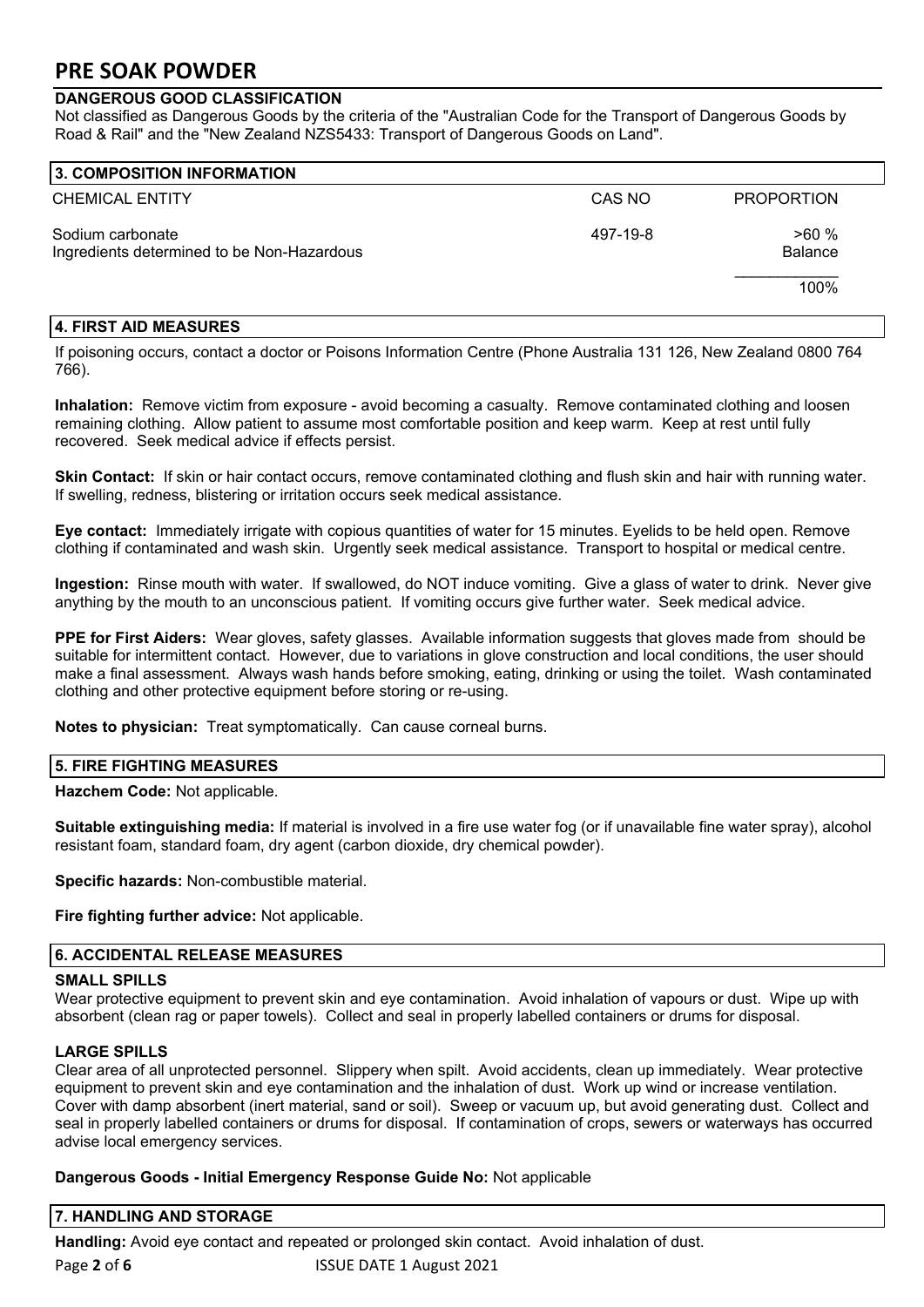# **DANGEROUS GOOD CLASSIFICATION**

Not classified as Dangerous Goods by the criteria of the "Australian Code for the Transport of Dangerous Goods by Road & Rail" and the "New Zealand NZS5433: Transport of Dangerous Goods on Land".

| 3. COMPOSITION INFORMATION                                     |          |                        |
|----------------------------------------------------------------|----------|------------------------|
| <b>CHEMICAL ENTITY</b>                                         | CAS NO   | <b>PROPORTION</b>      |
| Sodium carbonate<br>Ingredients determined to be Non-Hazardous | 497-19-8 | >60%<br><b>Balance</b> |
|                                                                |          | 100%                   |

# **4. FIRST AID MEASURES**

If poisoning occurs, contact a doctor or Poisons Information Centre (Phone Australia 131 126, New Zealand 0800 764 766).

**Inhalation:** Remove victim from exposure - avoid becoming a casualty. Remove contaminated clothing and loosen remaining clothing. Allow patient to assume most comfortable position and keep warm. Keep at rest until fully recovered. Seek medical advice if effects persist.

**Skin Contact:** If skin or hair contact occurs, remove contaminated clothing and flush skin and hair with running water. If swelling, redness, blistering or irritation occurs seek medical assistance.

**Eye contact:** Immediately irrigate with copious quantities of water for 15 minutes. Eyelids to be held open. Remove clothing if contaminated and wash skin. Urgently seek medical assistance. Transport to hospital or medical centre.

**Ingestion:** Rinse mouth with water. If swallowed, do NOT induce vomiting. Give a glass of water to drink. Never give anything by the mouth to an unconscious patient. If vomiting occurs give further water. Seek medical advice.

**PPE for First Aiders:** Wear gloves, safety glasses. Available information suggests that gloves made from should be suitable for intermittent contact. However, due to variations in glove construction and local conditions, the user should make a final assessment. Always wash hands before smoking, eating, drinking or using the toilet. Wash contaminated clothing and other protective equipment before storing or re-using.

**Notes to physician:** Treat symptomatically. Can cause corneal burns.

# **5. FIRE FIGHTING MEASURES**

**Hazchem Code:** Not applicable.

**Suitable extinguishing media:** If material is involved in a fire use water fog (or if unavailable fine water spray), alcohol resistant foam, standard foam, dry agent (carbon dioxide, dry chemical powder).

**Specific hazards:** Non-combustible material.

**Fire fighting further advice:** Not applicable.

# **6. ACCIDENTAL RELEASE MEASURES**

# **SMALL SPILLS**

Wear protective equipment to prevent skin and eye contamination. Avoid inhalation of vapours or dust. Wipe up with absorbent (clean rag or paper towels). Collect and seal in properly labelled containers or drums for disposal.

# **LARGE SPILLS**

Clear area of all unprotected personnel. Slippery when spilt. Avoid accidents, clean up immediately. Wear protective equipment to prevent skin and eye contamination and the inhalation of dust. Work up wind or increase ventilation. Cover with damp absorbent (inert material, sand or soil). Sweep or vacuum up, but avoid generating dust. Collect and seal in properly labelled containers or drums for disposal. If contamination of crops, sewers or waterways has occurred advise local emergency services.

# **Dangerous Goods - Initial Emergency Response Guide No:** Not applicable

# **7. HANDLING AND STORAGE**

Page 2 of 6 **12 ISSUE DATE 1 August 2021 Handling:** Avoid eye contact and repeated or prolonged skin contact. Avoid inhalation of dust.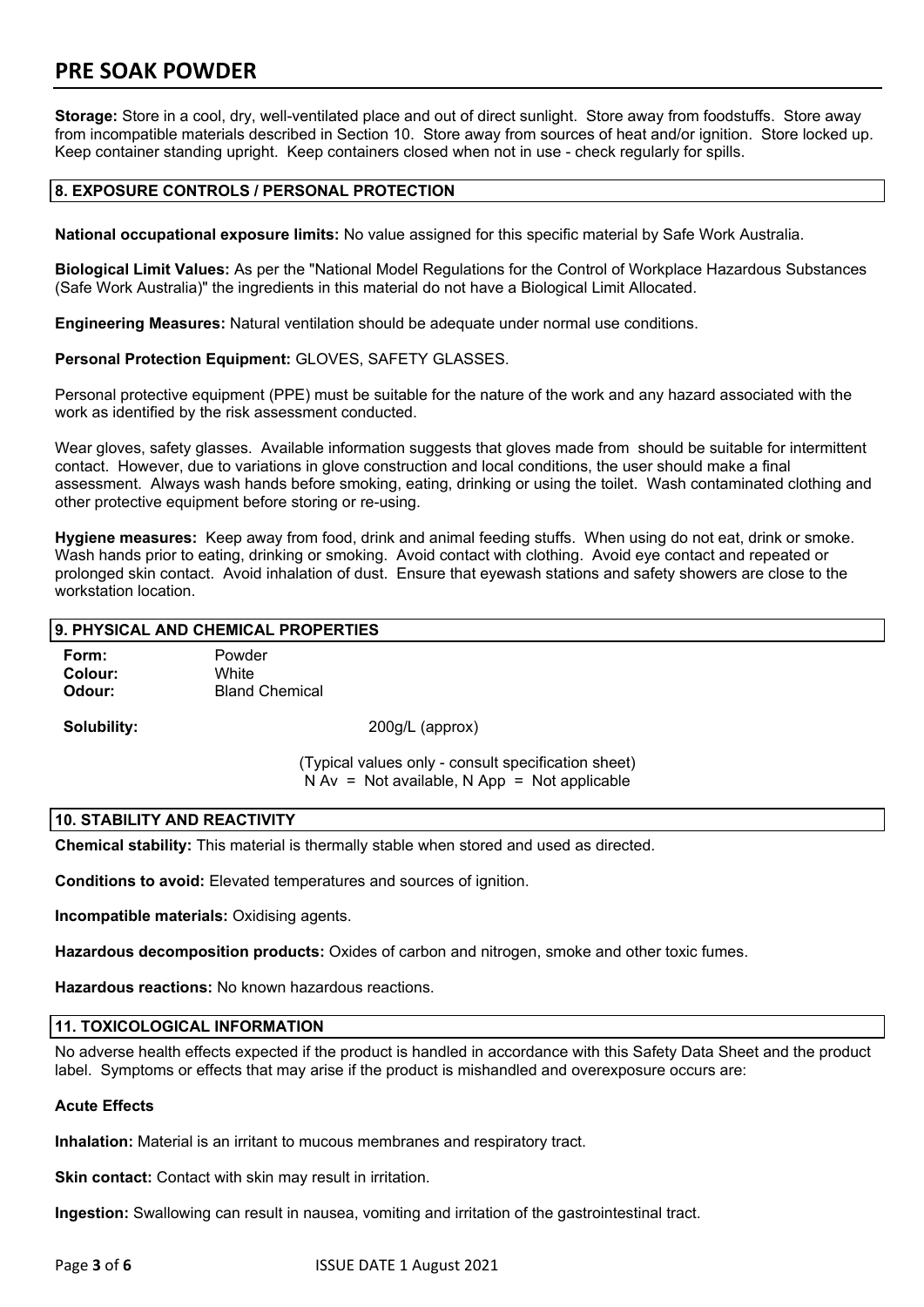**Storage:** Store in a cool, dry, well-ventilated place and out of direct sunlight. Store away from foodstuffs. Store away from incompatible materials described in Section 10. Store away from sources of heat and/or ignition. Store locked up. Keep container standing upright. Keep containers closed when not in use - check regularly for spills.

# **8. EXPOSURE CONTROLS / PERSONAL PROTECTION**

**National occupational exposure limits:** No value assigned for this specific material by Safe Work Australia.

**Biological Limit Values:** As per the "National Model Regulations for the Control of Workplace Hazardous Substances (Safe Work Australia)" the ingredients in this material do not have a Biological Limit Allocated.

**Engineering Measures:** Natural ventilation should be adequate under normal use conditions.

**Personal Protection Equipment:** GLOVES, SAFETY GLASSES.

Personal protective equipment (PPE) must be suitable for the nature of the work and any hazard associated with the work as identified by the risk assessment conducted.

Wear gloves, safety glasses. Available information suggests that gloves made from should be suitable for intermittent contact. However, due to variations in glove construction and local conditions, the user should make a final assessment. Always wash hands before smoking, eating, drinking or using the toilet. Wash contaminated clothing and other protective equipment before storing or re-using.

**Hygiene measures:** Keep away from food, drink and animal feeding stuffs. When using do not eat, drink or smoke. Wash hands prior to eating, drinking or smoking. Avoid contact with clothing. Avoid eye contact and repeated or prolonged skin contact. Avoid inhalation of dust. Ensure that eyewash stations and safety showers are close to the workstation location.

# **9. PHYSICAL AND CHEMICAL PROPERTIES**

| Form:   | Powder                |
|---------|-----------------------|
| Colour: | White                 |
| Odour:  | <b>Bland Chemical</b> |

**Solubility:** 200g/L (approx)

(Typical values only - consult specification sheet)  $N Av = Not available$ . N App = Not applicable

#### **10. STABILITY AND REACTIVITY**

**Chemical stability:** This material is thermally stable when stored and used as directed.

**Conditions to avoid:** Elevated temperatures and sources of ignition.

**Incompatible materials:** Oxidising agents.

**Hazardous decomposition products:** Oxides of carbon and nitrogen, smoke and other toxic fumes.

**Hazardous reactions:** No known hazardous reactions.

#### **11. TOXICOLOGICAL INFORMATION**

No adverse health effects expected if the product is handled in accordance with this Safety Data Sheet and the product label. Symptoms or effects that may arise if the product is mishandled and overexposure occurs are:

#### **Acute Effects**

**Inhalation:** Material is an irritant to mucous membranes and respiratory tract.

**Skin contact:** Contact with skin may result in irritation.

**Ingestion:** Swallowing can result in nausea, vomiting and irritation of the gastrointestinal tract.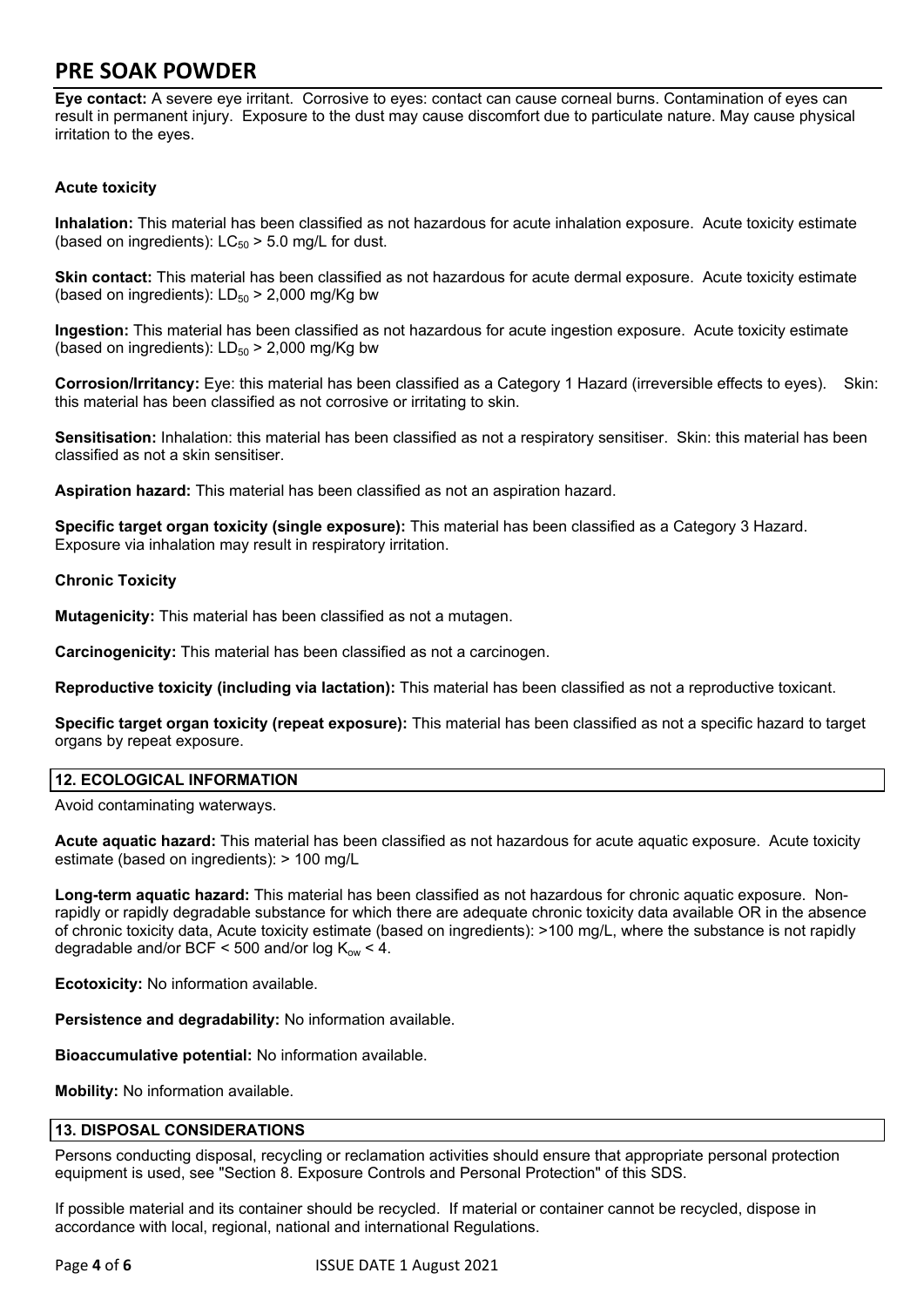**Eye contact:** A severe eye irritant. Corrosive to eyes: contact can cause corneal burns. Contamination of eyes can result in permanent injury. Exposure to the dust may cause discomfort due to particulate nature. May cause physical irritation to the eyes.

# **Acute toxicity**

**Inhalation:** This material has been classified as not hazardous for acute inhalation exposure. Acute toxicity estimate (based on ingredients):  $LC_{50}$  > 5.0 mg/L for dust.

**Skin contact:** This material has been classified as not hazardous for acute dermal exposure. Acute toxicity estimate (based on ingredients):  $LD_{50}$  > 2,000 mg/Kg bw

**Ingestion:** This material has been classified as not hazardous for acute ingestion exposure. Acute toxicity estimate (based on ingredients):  $LD_{50}$  > 2,000 mg/Kg bw

**Corrosion/Irritancy:** Eye: this material has been classified as a Category 1 Hazard (irreversible effects to eyes). Skin: this material has been classified as not corrosive or irritating to skin.

**Sensitisation:** Inhalation: this material has been classified as not a respiratory sensitiser. Skin: this material has been classified as not a skin sensitiser.

**Aspiration hazard:** This material has been classified as not an aspiration hazard.

**Specific target organ toxicity (single exposure):** This material has been classified as a Category 3 Hazard. Exposure via inhalation may result in respiratory irritation.

# **Chronic Toxicity**

**Mutagenicity:** This material has been classified as not a mutagen.

**Carcinogenicity:** This material has been classified as not a carcinogen.

**Reproductive toxicity (including via lactation):** This material has been classified as not a reproductive toxicant.

**Specific target organ toxicity (repeat exposure):** This material has been classified as not a specific hazard to target organs by repeat exposure.

# **12. ECOLOGICAL INFORMATION**

Avoid contaminating waterways.

**Acute aquatic hazard:** This material has been classified as not hazardous for acute aquatic exposure. Acute toxicity estimate (based on ingredients): > 100 mg/L

**Long-term aquatic hazard:** This material has been classified as not hazardous for chronic aquatic exposure. Nonrapidly or rapidly degradable substance for which there are adequate chronic toxicity data available OR in the absence of chronic toxicity data, Acute toxicity estimate (based on ingredients): >100 mg/L, where the substance is not rapidly degradable and/or BCF < 500 and/or log  $K_{ow}$  < 4.

**Ecotoxicity:** No information available.

**Persistence and degradability:** No information available.

**Bioaccumulative potential:** No information available.

**Mobility:** No information available.

# **13. DISPOSAL CONSIDERATIONS**

Persons conducting disposal, recycling or reclamation activities should ensure that appropriate personal protection equipment is used, see "Section 8. Exposure Controls and Personal Protection" of this SDS.

If possible material and its container should be recycled. If material or container cannot be recycled, dispose in accordance with local, regional, national and international Regulations.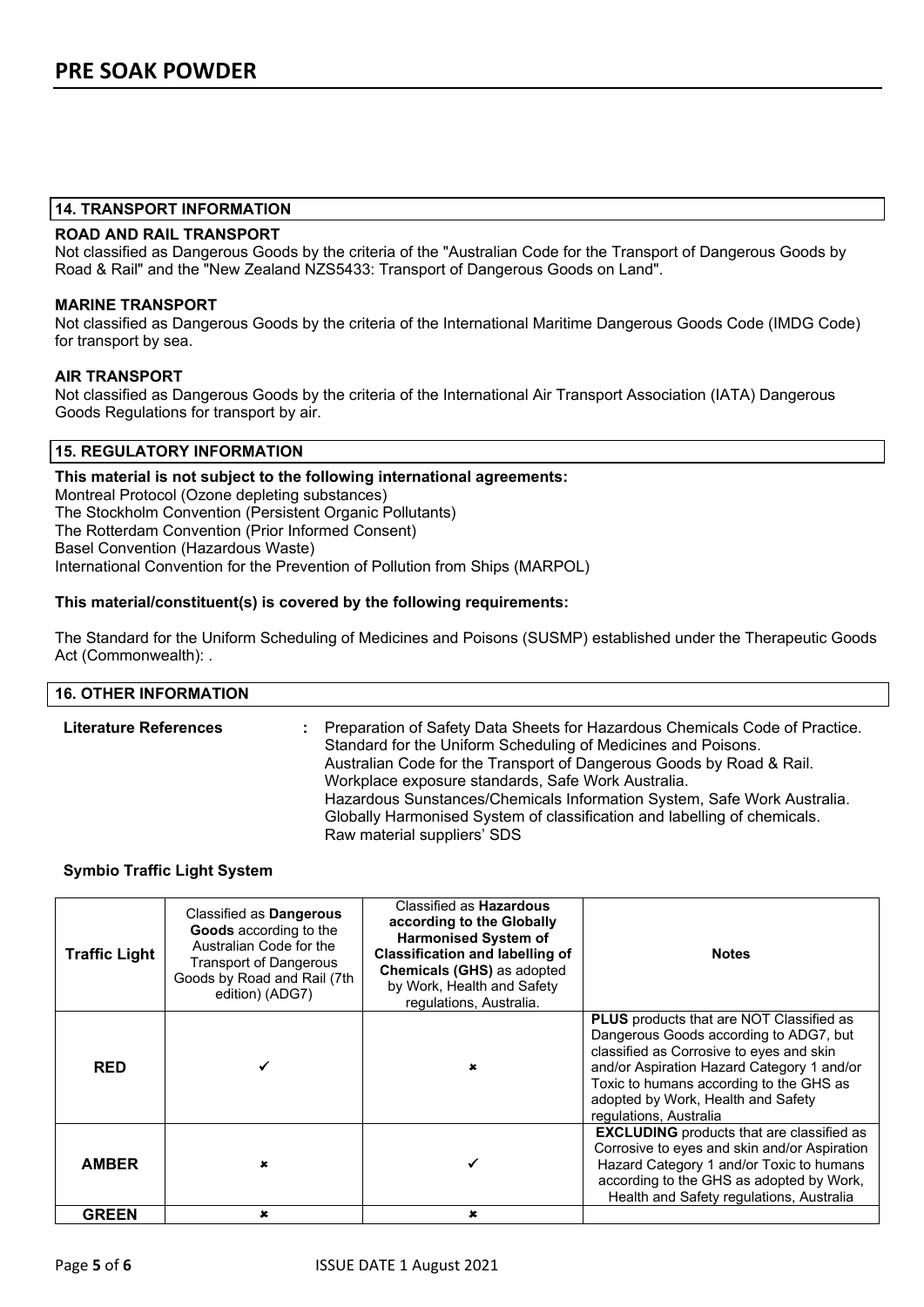#### **14. TRANSPORT INFORMATION**

#### **ROAD AND RAIL TRANSPORT**

Not classified as Dangerous Goods by the criteria of the "Australian Code for the Transport of Dangerous Goods by Road & Rail" and the "New Zealand NZS5433: Transport of Dangerous Goods on Land".

#### **MARINE TRANSPORT**

Not classified as Dangerous Goods by the criteria of the International Maritime Dangerous Goods Code (IMDG Code) for transport by sea.

#### **AIR TRANSPORT**

Not classified as Dangerous Goods by the criteria of the International Air Transport Association (IATA) Dangerous Goods Regulations for transport by air.

# **15. REGULATORY INFORMATION**

**This material is not subject to the following international agreements:** Montreal Protocol (Ozone depleting substances) The Stockholm Convention (Persistent Organic Pollutants) The Rotterdam Convention (Prior Informed Consent) Basel Convention (Hazardous Waste) International Convention for the Prevention of Pollution from Ships (MARPOL)

#### **This material/constituent(s) is covered by the following requirements:**

The Standard for the Uniform Scheduling of Medicines and Poisons (SUSMP) established under the Therapeutic Goods Act (Commonwealth): .

#### **16. OTHER INFORMATION**

| <b>Literature References</b> | Preparation of Safety Data Sheets for Hazardous Chemicals Code of Practice.<br>Standard for the Uniform Scheduling of Medicines and Poisons.<br>Australian Code for the Transport of Dangerous Goods by Road & Rail.<br>Workplace exposure standards, Safe Work Australia.<br>Hazardous Sunstances/Chemicals Information System, Safe Work Australia.<br>Globally Harmonised System of classification and labelling of chemicals.<br>Raw material suppliers' SDS |
|------------------------------|------------------------------------------------------------------------------------------------------------------------------------------------------------------------------------------------------------------------------------------------------------------------------------------------------------------------------------------------------------------------------------------------------------------------------------------------------------------|
|------------------------------|------------------------------------------------------------------------------------------------------------------------------------------------------------------------------------------------------------------------------------------------------------------------------------------------------------------------------------------------------------------------------------------------------------------------------------------------------------------|

#### **Symbio Traffic Light System**

| <b>Traffic Light</b> | Classified as Dangerous<br>Goods according to the<br>Australian Code for the<br><b>Transport of Dangerous</b><br>Goods by Road and Rail (7th<br>edition) (ADG7) | Classified as <b>Hazardous</b><br>according to the Globally<br><b>Harmonised System of</b><br><b>Classification and labelling of</b><br>Chemicals (GHS) as adopted<br>by Work, Health and Safety<br>regulations, Australia. | <b>Notes</b>                                                                                                                                                                                                                                                                                   |
|----------------------|-----------------------------------------------------------------------------------------------------------------------------------------------------------------|-----------------------------------------------------------------------------------------------------------------------------------------------------------------------------------------------------------------------------|------------------------------------------------------------------------------------------------------------------------------------------------------------------------------------------------------------------------------------------------------------------------------------------------|
| <b>RED</b>           |                                                                                                                                                                 | x                                                                                                                                                                                                                           | <b>PLUS</b> products that are NOT Classified as<br>Dangerous Goods according to ADG7, but<br>classified as Corrosive to eyes and skin<br>and/or Aspiration Hazard Category 1 and/or<br>Toxic to humans according to the GHS as<br>adopted by Work, Health and Safety<br>regulations, Australia |
| <b>AMBER</b>         |                                                                                                                                                                 |                                                                                                                                                                                                                             | <b>EXCLUDING</b> products that are classified as<br>Corrosive to eyes and skin and/or Aspiration<br>Hazard Category 1 and/or Toxic to humans<br>according to the GHS as adopted by Work,<br>Health and Safety regulations, Australia                                                           |
| <b>GREEN</b>         | ×                                                                                                                                                               | x                                                                                                                                                                                                                           |                                                                                                                                                                                                                                                                                                |